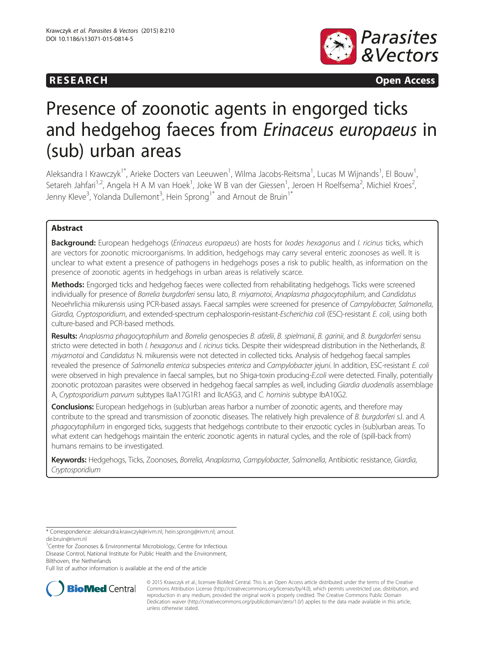## **RESEARCH CHINESEARCH CHINESEARCH CHINESE**



# Presence of zoonotic agents in engorged ticks and hedgehog faeces from Erinaceus europaeus in (sub) urban areas

Aleksandra I Krawczyk<sup>1\*</sup>, Arieke Docters van Leeuwen<sup>1</sup>, Wilma Jacobs-Reitsma<sup>1</sup>, Lucas M Wijnands<sup>1</sup>, El Bouw<sup>1</sup> , Setareh Jahfari<sup>1,2</sup>, Angela H A M van Hoek<sup>1</sup>, Joke W B van der Giessen<sup>1</sup>, Jeroen H Roelfsema<sup>2</sup>, Michiel Kroes<sup>2</sup> , Jenny Kleve<sup>3</sup>, Yolanda Dullemont<sup>3</sup>, Hein Sprong<sup>1\*</sup> and Arnout de Bruin<sup>1\*</sup>

## Abstract

Background: European hedgehogs (Erinaceus europaeus) are hosts for Ixodes hexagonus and I. ricinus ticks, which are vectors for zoonotic microorganisms. In addition, hedgehogs may carry several enteric zoonoses as well. It is unclear to what extent a presence of pathogens in hedgehogs poses a risk to public health, as information on the presence of zoonotic agents in hedgehogs in urban areas is relatively scarce.

Methods: Engorged ticks and hedgehog faeces were collected from rehabilitating hedgehogs. Ticks were screened individually for presence of Borrelia burgdorferi sensu lato, B. miyamotoi, Anaplasma phagocytophilum, and Candidatus Neoehrlichia mikurensis using PCR-based assays. Faecal samples were screened for presence of Campylobacter, Salmonella, Giardia, Cryptosporidium, and extended-spectrum cephalosporin-resistant-Escherichia coli (ESC)-resistant E. coli, using both culture-based and PCR-based methods.

Results: Anaplasma phagocytophilum and Borrelia genospecies B. afzelii, B. spielmanii, B. garinii, and B. burgdorferi sensu stricto were detected in both *I. hexagonus* and *I. ricinus* ticks. Despite their widespread distribution in the Netherlands, B. miyamotoi and Candidatus N. mikurensis were not detected in collected ticks. Analysis of hedgehog faecal samples revealed the presence of Salmonella enterica subspecies enterica and Campylobacter jejuni. In addition, ESC-resistant E. coli were observed in high prevalence in faecal samples, but no Shiga-toxin producing-E.coli were detected. Finally, potentially zoonotic protozoan parasites were observed in hedgehog faecal samples as well, including Giardia duodenalis assemblage A, Cryptosporidium parvum subtypes IIaA17G1R1 and IIcA5G3, and C. hominis subtype IbA10G2.

**Conclusions:** European hedgehogs in (sub)urban areas harbor a number of zoonotic agents, and therefore may contribute to the spread and transmission of zoonotic diseases. The relatively high prevalence of B. burgdorferi s.l. and A. phagocytophilum in engorged ticks, suggests that hedgehogs contribute to their enzootic cycles in (sub)urban areas. To what extent can hedgehogs maintain the enteric zoonotic agents in natural cycles, and the role of (spill-back from) humans remains to be investigated.

Keywords: Hedgehogs, Ticks, Zoonoses, Borrelia, Anaplasma, Campylobacter, Salmonella, Antibiotic resistance, Giardia, Cryptosporidium

\* Correspondence: [aleksandra.krawczyk@rivm.nl](mailto:aleksandra.krawczyk@rivm.nl); [hein.sprong@rivm.nl;](mailto:hein.sprong@rivm.nl) [arnout.](mailto:arnout.de.bruin@rivm.nl) [de.bruin@rivm.nl](mailto:arnout.de.bruin@rivm.nl)

<sup>1</sup>Centre for Zoonoses & Environmental Microbiology, Centre for Infectious Disease Control, National Institute for Public Health and the Environment, Bilthoven, the Netherlands

Full list of author information is available at the end of the article



© 2015 Krawczyk et al.; licensee BioMed Central. This is an Open Access article distributed under the terms of the Creative Commons Attribution License [\(http://creativecommons.org/licenses/by/4.0\)](http://creativecommons.org/licenses/by/4.0), which permits unrestricted use, distribution, and reproduction in any medium, provided the original work is properly credited. The Creative Commons Public Domain Dedication waiver [\(http://creativecommons.org/publicdomain/zero/1.0/](http://creativecommons.org/publicdomain/zero/1.0/)) applies to the data made available in this article, unless otherwise stated.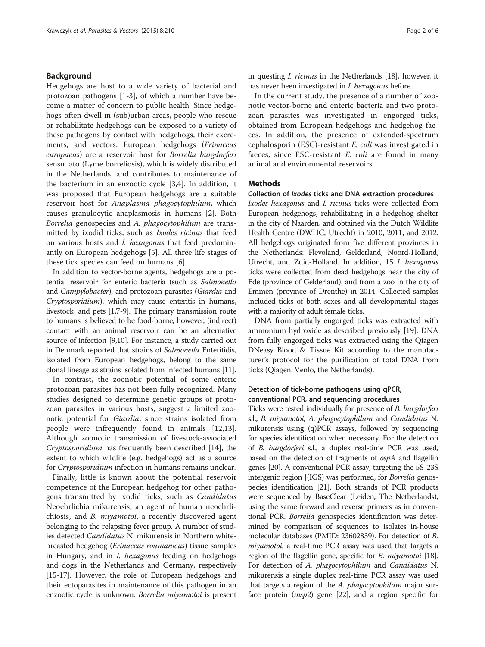#### Background

Hedgehogs are host to a wide variety of bacterial and protozoan pathogens [\[1-3](#page-4-0)], of which a number have become a matter of concern to public health. Since hedgehogs often dwell in (sub)urban areas, people who rescue or rehabilitate hedgehogs can be exposed to a variety of these pathogens by contact with hedgehogs, their excrements, and vectors. European hedgehogs (Erinaceus europaeus) are a reservoir host for Borrelia burgdorferi sensu lato (Lyme borreliosis), which is widely distributed in the Netherlands, and contributes to maintenance of the bacterium in an enzootic cycle [[3,4\]](#page-4-0). In addition, it was proposed that European hedgehogs are a suitable reservoir host for Anaplasma phagocytophilum, which causes granulocytic anaplasmosis in humans [[2\]](#page-4-0). Both Borrelia genospecies and A. phagocytophilum are transmitted by ixodid ticks, such as Ixodes ricinus that feed on various hosts and I. hexagonus that feed predominantly on European hedgehogs [[5\]](#page-4-0). All three life stages of these tick species can feed on humans [\[6](#page-4-0)].

In addition to vector-borne agents, hedgehogs are a potential reservoir for enteric bacteria (such as Salmonella and Campylobacter), and protozoan parasites (Giardia and Cryptosporidium), which may cause enteritis in humans, livestock, and pets [\[1,7](#page-4-0)-[9](#page-4-0)]. The primary transmission route to humans is believed to be food-borne, however, (indirect) contact with an animal reservoir can be an alternative source of infection [\[9,10](#page-4-0)]. For instance, a study carried out in Denmark reported that strains of Salmonella Enteritidis, isolated from European hedgehogs, belong to the same clonal lineage as strains isolated from infected humans [[11](#page-4-0)].

In contrast, the zoonotic potential of some enteric protozoan parasites has not been fully recognized. Many studies designed to determine genetic groups of protozoan parasites in various hosts, suggest a limited zoonotic potential for Giardia, since strains isolated from people were infrequently found in animals [\[12,13](#page-4-0)]. Although zoonotic transmission of livestock-associated Cryptosporidium has frequently been described [\[14\]](#page-4-0), the extent to which wildlife (e.g. hedgehogs) act as a source for Cryptosporidium infection in humans remains unclear.

Finally, little is known about the potential reservoir competence of the European hedgehog for other pathogens transmitted by ixodid ticks, such as Candidatus Neoehrlichia mikurensis, an agent of human neoehrlichiosis, and B. miyamotoi, a recently discovered agent belonging to the relapsing fever group. A number of studies detected Candidatus N. mikurensis in Northern whitebreasted hedgehog (Erinaceus roumanicus) tissue samples in Hungary, and in *I. hexagonus* feeding on hedgehogs and dogs in the Netherlands and Germany, respectively [[15](#page-4-0)-[17\]](#page-4-0). However, the role of European hedgehogs and their ectoparasites in maintenance of this pathogen in an enzootic cycle is unknown. Borrelia miyamotoi is present in questing I. ricinus in the Netherlands [[18\]](#page-4-0), however, it has never been investigated in *I. hexagonus* before.

In the current study, the presence of a number of zoonotic vector-borne and enteric bacteria and two protozoan parasites was investigated in engorged ticks, obtained from European hedgehogs and hedgehog faeces. In addition, the presence of extended-spectrum cephalosporin (ESC)-resistant E. coli was investigated in faeces, since ESC-resistant E. coli are found in many animal and environmental reservoirs.

### **Methods**

#### Collection of Ixodes ticks and DNA extraction procedures

Ixodes hexagonus and I. ricinus ticks were collected from European hedgehogs, rehabilitating in a hedgehog shelter in the city of Naarden, and obtained via the Dutch Wildlife Health Centre (DWHC, Utrecht) in 2010, 2011, and 2012. All hedgehogs originated from five different provinces in the Netherlands: Flevoland, Gelderland, Noord-Holland, Utrecht, and Zuid-Holland. In addition, 15 I. hexagonus ticks were collected from dead hedgehogs near the city of Ede (province of Gelderland), and from a zoo in the city of Emmen (province of Drenthe) in 2014. Collected samples included ticks of both sexes and all developmental stages with a majority of adult female ticks.

DNA from partially engorged ticks was extracted with ammonium hydroxide as described previously [[19](#page-4-0)]. DNA from fully engorged ticks was extracted using the Qiagen DNeasy Blood & Tissue Kit according to the manufacturer's protocol for the purification of total DNA from ticks (Qiagen, Venlo, the Netherlands).

## Detection of tick-borne pathogens using qPCR, conventional PCR, and sequencing procedures

Ticks were tested individually for presence of B. burgdorferi s.l., B. miyamotoi, A. phagocytophilum and Candidatus N. mikurensis using (q)PCR assays, followed by sequencing for species identification when necessary. For the detection of B. burgdorferi s.l., a duplex real-time PCR was used, based on the detection of fragments of ospA and flagellin genes [\[20\]](#page-4-0). A conventional PCR assay, targeting the 5S-23S intergenic region [(IGS) was performed, for Borrelia genospecies identification [\[21](#page-4-0)]. Both strands of PCR products were sequenced by BaseClear (Leiden, The Netherlands), using the same forward and reverse primers as in conventional PCR. Borrelia genospecies identification was determined by comparison of sequences to isolates in-house molecular databases (PMID: 23602839). For detection of B. miyamotoi, a real-time PCR assay was used that targets a region of the flagellin gene, specific for *B. miyamotoi* [\[18](#page-4-0)]. For detection of A. *phagocytophilum* and *Candidatus* N. mikurensis a single duplex real-time PCR assay was used that targets a region of the A. *phagocytophilum* major surface protein (msp2) gene [\[22](#page-4-0)], and a region specific for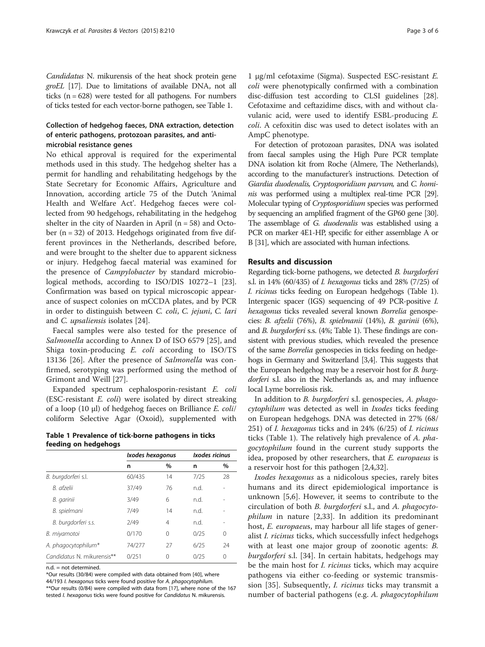Candidatus N. mikurensis of the heat shock protein gene groEL [[17](#page-4-0)]. Due to limitations of available DNA, not all ticks ( $n = 628$ ) were tested for all pathogens. For numbers of ticks tested for each vector-borne pathogen, see Table 1.

## Collection of hedgehog faeces, DNA extraction, detection of enteric pathogens, protozoan parasites, and antimicrobial resistance genes

No ethical approval is required for the experimental methods used in this study. The hedgehog shelter has a permit for handling and rehabilitating hedgehogs by the State Secretary for Economic Affairs, Agriculture and Innovation, according article 75 of the Dutch 'Animal Health and Welfare Act'. Hedgehog faeces were collected from 90 hedgehogs, rehabilitating in the hedgehog shelter in the city of Naarden in April ( $n = 58$ ) and October (n = 32) of 2013. Hedgehogs originated from five different provinces in the Netherlands, described before, and were brought to the shelter due to apparent sickness or injury. Hedgehog faecal material was examined for the presence of Campylobacter by standard microbiological methods, according to ISO/DIS 10272–1 [\[23](#page-4-0)]. Confirmation was based on typical microscopic appearance of suspect colonies on mCCDA plates, and by PCR in order to distinguish between C. coli, C. jejuni, C. lari and C. upsaliensis isolates [[24\]](#page-4-0).

Faecal samples were also tested for the presence of Salmonella according to Annex D of ISO 6579 [[25](#page-5-0)], and Shiga toxin-producing E. coli according to ISO/TS 13136 [[26\]](#page-5-0). After the presence of Salmonella was confirmed, serotyping was performed using the method of Grimont and Weill [[27\]](#page-5-0).

Expanded spectrum cephalosporin-resistant E. coli (ESC-resistant E. coli) were isolated by direct streaking of a loop (10 μl) of hedgehog faeces on Brilliance E. coli/ coliform Selective Agar (Oxoid), supplemented with

Table 1 Prevalence of tick-borne pathogens in ticks feeding on hedgehogs

|                            | Ixodes hexagonus |      | Ixodes ricinus |          |
|----------------------------|------------------|------|----------------|----------|
|                            | n                | $\%$ | n              | $\%$     |
| B. burgdorferi s.l.        | 60/435           | 14   | 7/25           | 28       |
| R afzelii                  | 37/49            | 76   | n.d.           |          |
| B. garinii                 | 3/49             | 6    | n.d.           |          |
| B. spielmani               | 7/49             | 14   | n.d.           |          |
| B. burgdorferi s.s.        | 7/49             | 4    | n.d.           |          |
| B. miyamotoi               | 0/170            | ∩    | 0/25           | $\Omega$ |
| A. phagocytophilum*        | 74/277           | 27   | 6/25           | 24       |
| Candidatus N. mikurensis** | 0/251            | ∩    | 0/25           | $\Omega$ |

n.d. = not determined.

\*Our results (30/84) were compiled with data obtained from [[40\]](#page-5-0), where

44/193 I. hexagonus ticks were found positive for A. phagocytophilum.

\*\*Our results (0/84) were compiled with data from [[17\]](#page-4-0), where none of the 167 tested *I. hexagonus* ticks were found positive for Candidatus N. mikurensis.

1 μg/ml cefotaxime (Sigma). Suspected ESC-resistant E. coli were phenotypically confirmed with a combination disc-diffusion test according to CLSI guidelines [\[28](#page-5-0)]. Cefotaxime and ceftazidime discs, with and without clavulanic acid, were used to identify ESBL-producing E. coli. A cefoxitin disc was used to detect isolates with an AmpC phenotype.

For detection of protozoan parasites, DNA was isolated from faecal samples using the High Pure PCR template DNA isolation kit from Roche (Almere, The Netherlands), according to the manufacturer's instructions. Detection of Giardia duodenalis, Cryptosporidium parvum, and C. homi-nis was performed using a multiplex real-time PCR [\[29](#page-5-0)]. Molecular typing of Cryptosporidium species was performed by sequencing an amplified fragment of the GP60 gene [\[30](#page-5-0)]. The assemblage of G. duodenalis was established using a PCR on marker 4E1-HP, specific for either assemblage A or B [\[31](#page-5-0)], which are associated with human infections.

#### Results and discussion

Regarding tick-borne pathogens, we detected B. burgdorferi s.l. in 14% (60/435) of I. hexagonus ticks and 28% (7/25) of I. ricinus ticks feeding on European hedgehogs (Table 1). Intergenic spacer (IGS) sequencing of 49 PCR-positive I. hexagonus ticks revealed several known Borrelia genospecies: B. afzelii (76%), B. spielmanii (14%), B. garinii (6%), and B. burgdorferi s.s. (4%; Table 1). These findings are consistent with previous studies, which revealed the presence of the same Borrelia genospecies in ticks feeding on hedgehogs in Germany and Switzerland [\[3,4](#page-4-0)]. This suggests that the European hedgehog may be a reservoir host for B. burgdorferi s.l. also in the Netherlands as, and may influence local Lyme borreliosis risk.

In addition to B. burgdorferi s.l. genospecies, A. phagocytophilum was detected as well in *Ixodes* ticks feeding on European hedgehogs. DNA was detected in 27% (68/ 251) of I. hexagonus ticks and in 24% (6/25) of I. ricinus ticks (Table 1). The relatively high prevalence of A. phagocytophilum found in the current study supports the idea, proposed by other researchers, that *E. europaeus* is a reservoir host for this pathogen [[2,4,](#page-4-0)[32\]](#page-5-0).

Ixodes hexagonus as a nidicolous species, rarely bites humans and its direct epidemiological importance is unknown [[5,6](#page-4-0)]. However, it seems to contribute to the circulation of both B. burgdorferi s.l., and A. phagocyto-philum in nature [\[2](#page-4-0),[33\]](#page-5-0). In addition its predominant host, E. europaeus, may harbour all life stages of generalist I. ricinus ticks, which successfully infect hedgehogs with at least one major group of zoonotic agents: B. burgdorferi s.l. [[34\]](#page-5-0). In certain habitats, hedgehogs may be the main host for *I. ricinus* ticks, which may acquire pathogens via either co-feeding or systemic transmis-sion [[35](#page-5-0)]. Subsequently, *I. ricinus* ticks may transmit a number of bacterial pathogens (e.g. A. phagocytophilum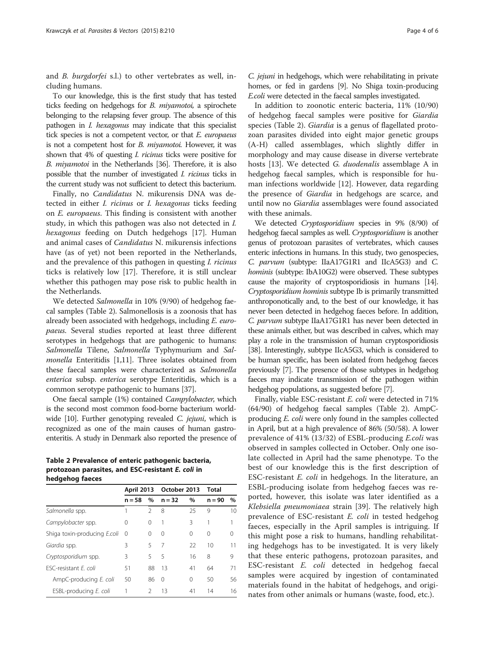and *B. burgdorfei* s.l.) to other vertebrates as well, including humans.

To our knowledge, this is the first study that has tested ticks feeding on hedgehogs for B. miyamotoi, a spirochete belonging to the relapsing fever group. The absence of this pathogen in *I. hexagonus* may indicate that this specialist tick species is not a competent vector, or that E. europaeus is not a competent host for B. miyamotoi. However, it was shown that 4% of questing I. ricinus ticks were positive for B. miyamotoi in the Netherlands [[36\]](#page-5-0). Therefore, it is also possible that the number of investigated I. ricinus ticks in the current study was not sufficient to detect this bacterium.

Finally, no Candidatus N. mikurensis DNA was detected in either I. ricinus or I. hexagonus ticks feeding on E. europaeus. This finding is consistent with another study, in which this pathogen was also not detected in I. hexagonus feeding on Dutch hedgehogs [[17\]](#page-4-0). Human and animal cases of Candidatus N. mikurensis infections have (as of yet) not been reported in the Netherlands, and the prevalence of this pathogen in questing I. ricinus ticks is relatively low [[17\]](#page-4-0). Therefore, it is still unclear whether this pathogen may pose risk to public health in the Netherlands.

We detected Salmonella in 10% (9/90) of hedgehog faecal samples (Table 2). Salmonellosis is a zoonosis that has already been associated with hedgehogs, including E. europaeus. Several studies reported at least three different serotypes in hedgehogs that are pathogenic to humans: Salmonella Tilene, Salmonella Typhymurium and Sal-monella Enteritidis [[1,11](#page-4-0)]. Three isolates obtained from these faecal samples were characterized as Salmonella enterica subsp. enterica serotype Enteritidis, which is a common serotype pathogenic to humans [\[37\]](#page-5-0).

One faecal sample (1%) contained Campylobacter, which is the second most common food-borne bacterium world-wide [\[10](#page-4-0)]. Further genotyping revealed C. jejuni, which is recognized as one of the main causes of human gastroenteritis. A study in Denmark also reported the presence of

Table 2 Prevalence of enteric pathogenic bacteria, protozoan parasites, and ESC-resistant E. coli in hedgehog faeces

|                              | <b>April 2013</b> |               | October 2013 |      | Total    |      |
|------------------------------|-------------------|---------------|--------------|------|----------|------|
|                              | $n = 58$          | $\%$          | $n = 32$     | $\%$ | $n = 90$ | $\%$ |
| Salmonella spp.              |                   | $\mathcal{P}$ | 8            | 25   | 9        | 10   |
| Campylobacter spp.           | 0                 | 0             | 1            | 3    |          | 1    |
| Shiga toxin-producing E.coli | 0                 | 0             | 0            | 0    | 0        | 0    |
| Giardia spp.                 | 3                 | 5             | 7            | 22   | 10       | 11   |
| Cryptosporidium spp.         | 3                 | 5             | 5            | 16   | 8        | 9    |
| <b>FSC-resistant F. coli</b> | 51                | 88            | 13           | 41   | 64       | 71   |
| AmpC-producing E. coli       | 50                | 86            | 0            | 0    | 50       | 56   |
| ESBL-producing E. coli       |                   | $\mathcal{P}$ | 13           | 41   | 14       | 16   |

C. jejuni in hedgehogs, which were rehabilitating in private homes, or fed in gardens [[9\]](#page-4-0). No Shiga toxin-producing E.coli were detected in the faecal samples investigated.

In addition to zoonotic enteric bacteria, 11% (10/90) of hedgehog faecal samples were positive for Giardia species (Table 2). *Giardia* is a genus of flagellated protozoan parasites divided into eight major genetic groups (A-H) called assemblages, which slightly differ in morphology and may cause disease in diverse vertebrate hosts [\[13\]](#page-4-0). We detected G. duodenalis assemblage A in hedgehog faecal samples, which is responsible for human infections worldwide [[12\]](#page-4-0). However, data regarding the presence of Giardia in hedgehogs are scarce, and until now no Giardia assemblages were found associated with these animals.

We detected Cryptosporidium species in 9% (8/90) of hedgehog faecal samples as well. Cryptosporidium is another genus of protozoan parasites of vertebrates, which causes enteric infections in humans. In this study, two genospecies, C. parvum (subtype: IIaA17G1R1 and IIcA5G3) and C. hominis (subtype: IbA10G2) were observed. These subtypes cause the majority of cryptosporidiosis in humans [\[14\]](#page-4-0). Cryptosporidium hominis subtype Ib is primarily transmitted anthroponotically and, to the best of our knowledge, it has never been detected in hedgehog faeces before. In addition, C. parvum subtype IIaA17G1R1 has never been detected in these animals either, but was described in calves, which may play a role in the transmission of human cryptosporidiosis [[38\]](#page-5-0). Interestingly, subtype IIcA5G3, which is considered to be human specific, has been isolated from hedgehog faeces previously [\[7\]](#page-4-0). The presence of those subtypes in hedgehog faeces may indicate transmission of the pathogen within hedgehog populations, as suggested before [\[7\]](#page-4-0).

Finally, viable ESC-resistant E. coli were detected in 71% (64/90) of hedgehog faecal samples (Table 2). AmpCproducing E. coli were only found in the samples collected in April, but at a high prevalence of 86% (50/58). A lower prevalence of 41% (13/32) of ESBL-producing E.coli was observed in samples collected in October. Only one isolate collected in April had the same phenotype. To the best of our knowledge this is the first description of ESC-resistant *E. coli* in hedgehogs. In the literature, an ESBL-producing isolate from hedgehog faeces was reported, however, this isolate was later identified as a Klebsiella pneumoniaea strain [[39\]](#page-5-0). The relatively high prevalence of ESC-resistant E. coli in tested hedgehog faeces, especially in the April samples is intriguing. If this might pose a risk to humans, handling rehabilitating hedgehogs has to be investigated. It is very likely that these enteric pathogens, protozoan parasites, and ESC-resistant E. coli detected in hedgehog faecal samples were acquired by ingestion of contaminated materials found in the habitat of hedgehogs, and originates from other animals or humans (waste, food, etc.).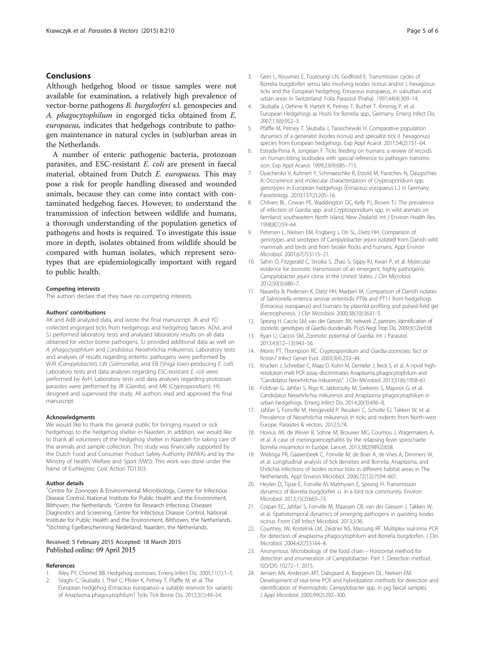## <span id="page-4-0"></span>Conclusions

Although hedgehog blood or tissue samples were not available for examination, a relatively high prevalence of vector-borne pathogens B. burgdorferi s.l. genospecies and A. phagocytophilum in engorged ticks obtained from E. europaeus, indicates that hedgehogs contribute to pathogen maintenance in natural cycles in (sub)urban areas in the Netherlands.

A number of enteric pathogenic bacteria, protozoan parasites, and ESC-resistant E. coli are present in faecal material, obtained from Dutch E. europaeus. This may pose a risk for people handling diseased and wounded animals, because they can come into contact with contaminated hedgehog faeces. However, to understand the transmission of infection between wildlife and humans, a thorough understanding of the population genetics of pathogens and hosts is required. To investigate this issue more in depth, isolates obtained from wildlife should be compared with human isolates, which represent serotypes that are epidemiologically important with regard to public health.

#### Competing interests

The authors declare that they have no competing interests.

#### Authors' contributions

AK and AdB analyzed data, and wrote the final manuscript. JK and YD collected engorged ticks from hedgehogs and hedgehog faeces. ADvL and SJ performed laboratory tests and analyzed laboratory results on all data obtained for vector-borne pathogens. SJ provided additional data as well on A. phagoctyophilum and Candidatus Neoehrlichia mikurensis. Laboratory tests and analyses of results regarding enteritic pathogens were performed by WJR (Campylobacter), LW (Salmonella), and EB (Shiga toxin-producing E. coli). Laboratory tests and data analyses regarding ESC-resistant E. coli were performed by AvH. Laboratory tests and data analyses regarding protozoan parasites were performed by JR (Giardia), and MK (Cryptosporidium). HS designed and supervised the study. All authors read and approved the final manuscript.

#### Acknowledgments

We would like to thank the general public for bringing injured or sick hedgehogs to the hedgehog shelter in Naarden. In addition, we would like to thank all volunteers of the hedgehog shelter in Naarden for taking care of the animals and sample collection. This study was financially supported by the Dutch Food and Consumer Product Safety Authority (NVWA) and by the Ministry of Health, Welfare and Sport (VWS). This work was done under the frame of EurNegVec Cost Action TD1303.

#### Author details

<sup>1</sup>Centre for Zoonoses & Environmental Microbiology, Centre for Infectious Disease Control, National Institute for Public Health and the Environment, Bilthoven, the Netherlands. <sup>2</sup>Centre for Research Infectious Diseases Diagnostics and Screening, Centre for Infectious Disease Control, National Institute for Public Health and the Environment, Bilthoven, the Netherlands. <sup>3</sup>Stichting Egelbescherming Nederland, Naarden, the Netherlands.

#### Received: 5 February 2015 Accepted: 18 March 2015 Published online: 09 April 2015

#### References

- Riley PY, Chomel BB. Hedgehog zoonoses. Emerg Infect Dis. 2005;11(1):1-5.
- 2. Silaghi C, Skuballa J, Thiel C, Pfister K, Petney T, Pfaffle M, et al. The European hedgehog (Erinaceus europaeus)–a suitable reservoir for variants of Anaplasma phagocytophilum? Ticks Tick Borne Dis. 2012;3(1):49–54.
- 3. Gern L, Rouvinez E, Toutoungi LN, Godfroid E. Transmission cycles of Borrelia burgdorferi sensu lato involving Ixodes ricinus and/or I. hexagonus ticks and the European hedgehog, Erinaceus europaeus, in suburban and urban areas in Switzerland. Folia Parasitol (Praha). 1997;44(4):309–14.
- 4. Skuballa J, Oehme R, Hartelt K, Petney T, Bucher T, Kimmig P, et al. European Hedgehogs as Hosts for Borrelia spp., Germany. Emerg Infect Dis. 2007;13(6):952–3.
- 5. Pfaffle M, Petney T, Skuballa J, Taraschewski H. Comparative population dynamics of a generalist (Ixodes ricinus) and specialist tick (I. hexagonus) species from European hedgehogs. Exp Appl Acarol. 2011;54(2):151–64.
- Estrada-Pena A, Jongejan F. Ticks feeding on humans: a review of records on human-biting Ixodoidea with special reference to pathogen transmission. Exp Appl Acarol. 1999;23(9):685–715.
- 7. Dyachenko V, Kuhnert Y, Schmaeschke R, Etzold M, Pantchev N, Daugschies A. Occurrence and molecular characterization of Cryptosporidium spp. genotypes in European hedgehogs (Erinaceus europaeus L.) in Germany. Parasitology. 2010;137(2):205–16.
- 8. Chilvers BL, Cowan PE, Waddington DC, Kelly PJ, Brown TJ. The prevalence of infection of Giardia spp. and Cryptosporidium spp. in wild animals on farmland, southeastern North Island, New Zealand. Int J Environ Health Res. 1998;8(1):59–64.
- 9. Petersen L, Nielsen EM, Engberg J, On SL, Dietz HH. Comparison of genotypes and serotypes of Campylobacter jejuni isolated from Danish wild mammals and birds and from broiler flocks and humans. Appl Environ Microbiol. 2001;67(7):3115–21.
- 10. Sahin O, Fitzgerald C, Stroika S, Zhao S, Sippy RJ, Kwan P, et al. Molecular evidence for zoonotic transmission of an emergent, highly pathogenic Campylobacter jejuni clone in the United States. J Clin Microbiol. 2012;50(3):680–7.
- 11. Nauerby B, Pedersen K, Dietz HH, Madsen M. Comparison of Danish isolates of Salmonella enterica serovar enteritidis PT9a and PT11 from hedgehogs (Erinaceus europaeus) and humans by plasmid profiling and pulsed-field gel electrophoresis. J Clin Microbiol. 2000;38(10):3631–5.
- 12. Sprong H, Caccio SM, van der Giessen JW, network Z, partners. Identification of zoonotic genotypes of Giardia duodenalis. PLoS Negl Trop Dis. 2009;3(12):e558.
- 13. Ryan U, Caccio SM. Zoonotic potential of Giardia. Int J Parasitol. 2013;43(12–13):943–56.
- 14. Monis PT, Thompson RC. Cryptosporidium and Giardia-zoonoses: fact or fiction? Infect Genet Evol. 2003;3(4):233–44.
- 15. Krucken J, Schreiber C, Maaz D, Kohn M, Demeler J, Beck S, et al. A novel highresolution melt PCR assay discriminates Anaplasma phagocytophilum and "Candidatus Neoehrlichia mikurensis". J Clin Microbiol. 2013;51(6):1958–61.
- 16. Foldvari G, Jahfari S, Rigo K, Jablonszky M, Szekeres S, Majoros G, et al. Candidatus Neoehrlichia mikurensis and Anaplasma phagocytophilum in urban hedgehogs. Emerg Infect Dis. 2014;20(3):496–8.
- 17. Jahfari S, Fonville M, Hengeveld P, Reusken C, Scholte EJ, Takken W, et al. Prevalence of Neoehrlichia mikurensis in ticks and rodents from North-west Europe. Parasites & vectors. 2012;5:74.
- 18. Hovius JW, de Wever B, Sohne M, Brouwer MC, Coumou J, Wagemakers A, et al. A case of meningoencephalitis by the relapsing fever spirochaete Borrelia miyamotoi in Europe. Lancet. 2013;382(9892):658.
- 19. Wielinga PR, Gaasenbeek C, Fonville M, de Boer A, de Vries A, Dimmers W, et al. Longitudinal analysis of tick densities and Borrelia, Anaplasma, and Ehrlichia infections of Ixodes ricinus ticks in different habitat areas in The Netherlands. Appl Environ Microbiol. 2006;72(12):7594–601.
- 20. Heylen D, Tijsse E, Fonville M, Matthysen E, Sprong H. Transmission dynamics of Borrelia burgdorferi s.l. in a bird tick community. Environ Microbiol. 2013;15(2):663–73.
- 21. Coipan EC, Jahfari S, Fonville M, Maassen CB, van der Giessen J, Takken W, et al. Spatiotemporal dynamics of emerging pathogens in questing Ixodes ricinus. Front Cell Infect Microbiol. 2013;3:36.
- 22. Courtney JW, Kostelnik LM, Zeidner NS, Massung RF. Multiplex real-time PCR for detection of anaplasma phagocytophilum and Borrelia burgdorferi. J Clin Microbiol. 2004;42(7):3164–8.
- 23. Anonymous. Microbiology of the food chain − Horizontal method for detection and enumeration of Campylobacter- Part 1: Detection method. ISO/DIS 10272–1. 2015.
- 24. Jensen AN, Andersen MT, Dalsgaard A, Baggesen DL, Nielsen EM. Development of real-time PCR and hybridization methods for detection and identification of thermophilic Campylobacter spp. in pig faecal samples. J Appl Microbiol. 2005;99(2):292–300.